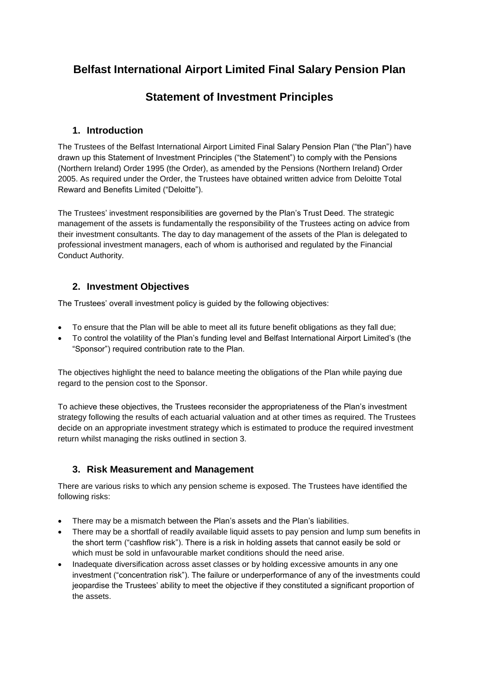# **Belfast International Airport Limited Final Salary Pension Plan**

# **Statement of Investment Principles**

### **1. Introduction**

The Trustees of the Belfast International Airport Limited Final Salary Pension Plan ("the Plan") have drawn up this Statement of Investment Principles ("the Statement") to comply with the Pensions (Northern Ireland) Order 1995 (the Order), as amended by the Pensions (Northern Ireland) Order 2005. As required under the Order, the Trustees have obtained written advice from Deloitte Total Reward and Benefits Limited ("Deloitte").

The Trustees' investment responsibilities are governed by the Plan's Trust Deed. The strategic management of the assets is fundamentally the responsibility of the Trustees acting on advice from their investment consultants. The day to day management of the assets of the Plan is delegated to professional investment managers, each of whom is authorised and regulated by the Financial Conduct Authority.

### **2. Investment Objectives**

The Trustees' overall investment policy is guided by the following objectives:

- To ensure that the Plan will be able to meet all its future benefit obligations as they fall due;
- To control the volatility of the Plan's funding level and Belfast International Airport Limited's (the "Sponsor") required contribution rate to the Plan.

The objectives highlight the need to balance meeting the obligations of the Plan while paying due regard to the pension cost to the Sponsor.

To achieve these objectives, the Trustees reconsider the appropriateness of the Plan's investment strategy following the results of each actuarial valuation and at other times as required. The Trustees decide on an appropriate investment strategy which is estimated to produce the required investment return whilst managing the risks outlined in section 3.

# **3. Risk Measurement and Management**

There are various risks to which any pension scheme is exposed. The Trustees have identified the following risks:

- There may be a mismatch between the Plan's assets and the Plan's liabilities.
- There may be a shortfall of readily available liquid assets to pay pension and lump sum benefits in the short term ("cashflow risk"). There is a risk in holding assets that cannot easily be sold or which must be sold in unfavourable market conditions should the need arise.
- Inadequate diversification across asset classes or by holding excessive amounts in any one investment ("concentration risk"). The failure or underperformance of any of the investments could jeopardise the Trustees' ability to meet the objective if they constituted a significant proportion of the assets.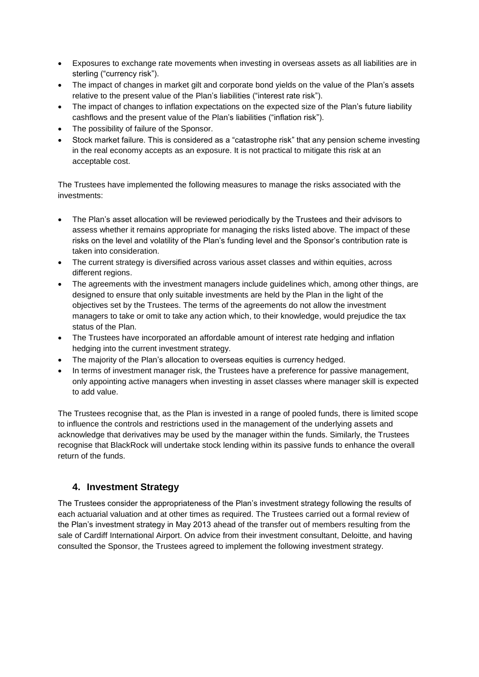- Exposures to exchange rate movements when investing in overseas assets as all liabilities are in sterling ("currency risk").
- The impact of changes in market gilt and corporate bond yields on the value of the Plan's assets relative to the present value of the Plan's liabilities ("interest rate risk").
- The impact of changes to inflation expectations on the expected size of the Plan's future liability cashflows and the present value of the Plan's liabilities ("inflation risk").
- The possibility of failure of the Sponsor.
- Stock market failure. This is considered as a "catastrophe risk" that any pension scheme investing in the real economy accepts as an exposure. It is not practical to mitigate this risk at an acceptable cost.

The Trustees have implemented the following measures to manage the risks associated with the investments:

- The Plan's asset allocation will be reviewed periodically by the Trustees and their advisors to assess whether it remains appropriate for managing the risks listed above. The impact of these risks on the level and volatility of the Plan's funding level and the Sponsor's contribution rate is taken into consideration.
- The current strategy is diversified across various asset classes and within equities, across different regions.
- The agreements with the investment managers include guidelines which, among other things, are designed to ensure that only suitable investments are held by the Plan in the light of the objectives set by the Trustees. The terms of the agreements do not allow the investment managers to take or omit to take any action which, to their knowledge, would prejudice the tax status of the Plan.
- The Trustees have incorporated an affordable amount of interest rate hedging and inflation hedging into the current investment strategy.
- The majority of the Plan's allocation to overseas equities is currency hedged.
- In terms of investment manager risk, the Trustees have a preference for passive management, only appointing active managers when investing in asset classes where manager skill is expected to add value.

The Trustees recognise that, as the Plan is invested in a range of pooled funds, there is limited scope to influence the controls and restrictions used in the management of the underlying assets and acknowledge that derivatives may be used by the manager within the funds. Similarly, the Trustees recognise that BlackRock will undertake stock lending within its passive funds to enhance the overall return of the funds.

### **4. Investment Strategy**

The Trustees consider the appropriateness of the Plan's investment strategy following the results of each actuarial valuation and at other times as required. The Trustees carried out a formal review of the Plan's investment strategy in May 2013 ahead of the transfer out of members resulting from the sale of Cardiff International Airport. On advice from their investment consultant, Deloitte, and having consulted the Sponsor, the Trustees agreed to implement the following investment strategy.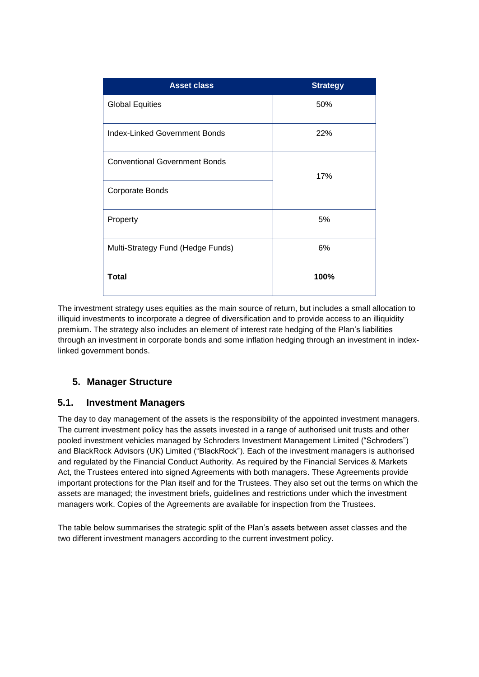| <b>Asset class</b>                   | <b>Strategy</b> |
|--------------------------------------|-----------------|
| <b>Global Equities</b>               | 50%             |
| <b>Index-Linked Government Bonds</b> | 22%             |
| <b>Conventional Government Bonds</b> | 17%             |
| Corporate Bonds                      |                 |
| Property                             | 5%              |
| Multi-Strategy Fund (Hedge Funds)    | 6%              |
| <b>Total</b>                         | 100%            |

The investment strategy uses equities as the main source of return, but includes a small allocation to illiquid investments to incorporate a degree of diversification and to provide access to an illiquidity premium. The strategy also includes an element of interest rate hedging of the Plan's liabilities through an investment in corporate bonds and some inflation hedging through an investment in indexlinked government bonds.

### **5. Manager Structure**

### **5.1. Investment Managers**

The day to day management of the assets is the responsibility of the appointed investment managers. The current investment policy has the assets invested in a range of authorised unit trusts and other pooled investment vehicles managed by Schroders Investment Management Limited ("Schroders") and BlackRock Advisors (UK) Limited ("BlackRock"). Each of the investment managers is authorised and regulated by the Financial Conduct Authority. As required by the Financial Services & Markets Act, the Trustees entered into signed Agreements with both managers. These Agreements provide important protections for the Plan itself and for the Trustees. They also set out the terms on which the assets are managed; the investment briefs, guidelines and restrictions under which the investment managers work. Copies of the Agreements are available for inspection from the Trustees.

The table below summarises the strategic split of the Plan's assets between asset classes and the two different investment managers according to the current investment policy.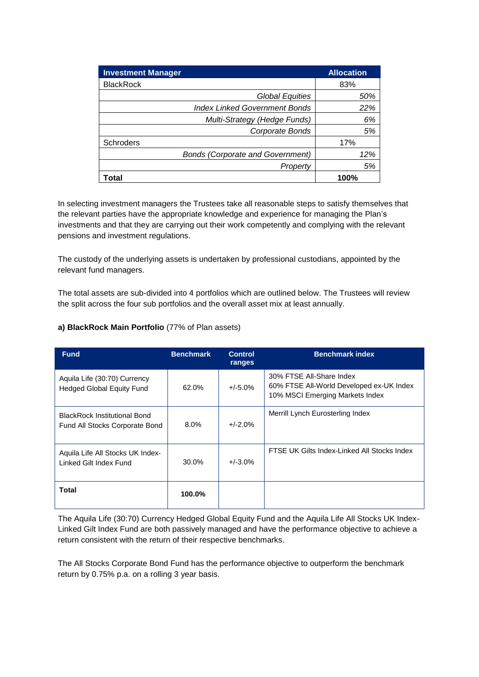| <b>Investment Manager</b>               | <b>Allocation</b> |
|-----------------------------------------|-------------------|
| <b>BlackRock</b>                        | 83%               |
| <b>Global Equities</b>                  | 50%               |
| <b>Index Linked Government Bonds</b>    | 22%               |
| Multi-Strategy (Hedge Funds)            | 6%                |
| Corporate Bonds                         | 5%                |
| <b>Schroders</b>                        | 17%               |
| <b>Bonds (Corporate and Government)</b> | 12%               |
| Property                                | 5%                |
| Total                                   | 100%              |

In selecting investment managers the Trustees take all reasonable steps to satisfy themselves that the relevant parties have the appropriate knowledge and experience for managing the Plan's investments and that they are carrying out their work competently and complying with the relevant pensions and investment regulations.

The custody of the underlying assets is undertaken by professional custodians, appointed by the relevant fund managers.

The total assets are sub-divided into 4 portfolios which are outlined below. The Trustees will review the split across the four sub portfolios and the overall asset mix at least annually.

#### **a) BlackRock Main Portfolio** (77% of Plan assets)

| <b>Fund</b>                                                           | <b>Benchmark</b> | <b>Control</b><br>ranges | <b>Benchmark index</b>                                                                                  |
|-----------------------------------------------------------------------|------------------|--------------------------|---------------------------------------------------------------------------------------------------------|
| Aquila Life (30:70) Currency<br><b>Hedged Global Equity Fund</b>      | 62.0%            | $+/-5.0\%$               | 30% FTSE All-Share Index<br>60% FTSE All-World Developed ex-UK Index<br>10% MSCI Emerging Markets Index |
| <b>BlackRock Institutional Bond</b><br>Fund All Stocks Corporate Bond | $8.0\%$          | $+/-2.0%$                | Merrill Lynch Eurosterling Index                                                                        |
| Aquila Life All Stocks UK Index-<br>Linked Gilt Index Fund            | 30.0%            | $+/-3.0\%$               | FTSE UK Gilts Index-Linked All Stocks Index                                                             |
| Total                                                                 | 100.0%           |                          |                                                                                                         |

The Aquila Life (30:70) Currency Hedged Global Equity Fund and the Aquila Life All Stocks UK Index-Linked Gilt Index Fund are both passively managed and have the performance objective to achieve a return consistent with the return of their respective benchmarks.

The All Stocks Corporate Bond Fund has the performance objective to outperform the benchmark return by 0.75% p.a. on a rolling 3 year basis.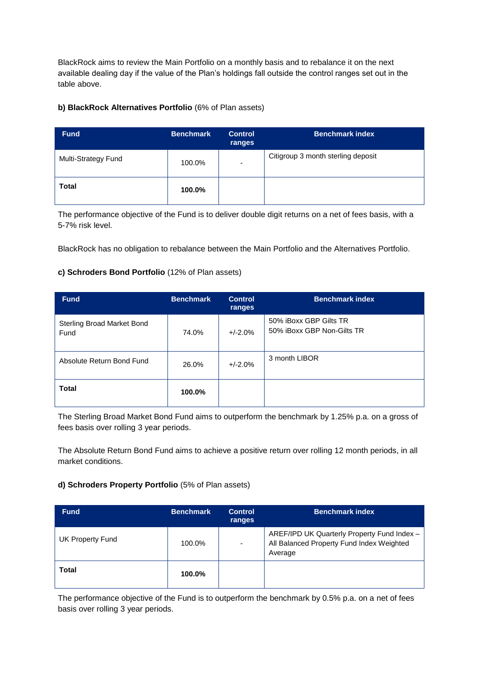BlackRock aims to review the Main Portfolio on a monthly basis and to rebalance it on the next available dealing day if the value of the Plan's holdings fall outside the control ranges set out in the table above.

#### **b) BlackRock Alternatives Portfolio** (6% of Plan assets)

| <b>Fund</b>         | <b>Benchmark</b> | <b>Control</b><br>ranges | <b>Benchmark index</b>             |
|---------------------|------------------|--------------------------|------------------------------------|
| Multi-Strategy Fund | 100.0%           | $\overline{\phantom{a}}$ | Citigroup 3 month sterling deposit |
| <b>Total</b>        | 100.0%           |                          |                                    |

The performance objective of the Fund is to deliver double digit returns on a net of fees basis, with a 5-7% risk level.

BlackRock has no obligation to rebalance between the Main Portfolio and the Alternatives Portfolio.

#### **c) Schroders Bond Portfolio** (12% of Plan assets)

| <b>Fund</b>                               | <b>Benchmark</b> | <b>Control</b><br>ranges | <b>Benchmark index</b>                               |
|-------------------------------------------|------------------|--------------------------|------------------------------------------------------|
| <b>Sterling Broad Market Bond</b><br>Fund | 74.0%            | $+/-2.0%$                | 50% iBoxx GBP Gilts TR<br>50% iBoxx GBP Non-Gilts TR |
| Absolute Return Bond Fund                 | 26.0%            | $+/-2.0%$                | 3 month LIBOR                                        |
| <b>Total</b>                              | 100.0%           |                          |                                                      |

The Sterling Broad Market Bond Fund aims to outperform the benchmark by 1.25% p.a. on a gross of fees basis over rolling 3 year periods.

The Absolute Return Bond Fund aims to achieve a positive return over rolling 12 month periods, in all market conditions.

#### **d) Schroders Property Portfolio** (5% of Plan assets)

| <b>Fund</b>      | <b>Benchmark</b> | <b>Control</b><br>ranges | <b>Benchmark index</b>                                                                              |
|------------------|------------------|--------------------------|-----------------------------------------------------------------------------------------------------|
| UK Property Fund | 100.0%           |                          | AREF/IPD UK Quarterly Property Fund Index -<br>All Balanced Property Fund Index Weighted<br>Average |
| <b>Total</b>     | 100.0%           |                          |                                                                                                     |

The performance objective of the Fund is to outperform the benchmark by 0.5% p.a. on a net of fees basis over rolling 3 year periods.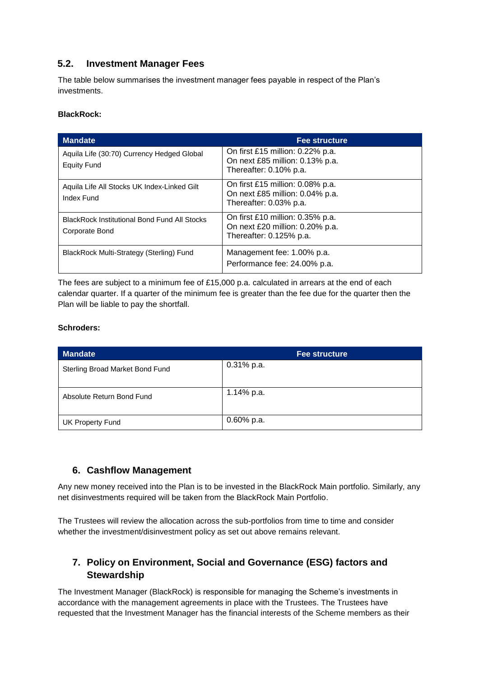### **5.2. Investment Manager Fees**

The table below summarises the investment manager fees payable in respect of the Plan's investments.

#### **BlackRock:**

| <b>Mandate</b>                                                        | <b>Fee structure</b>                                                                             |
|-----------------------------------------------------------------------|--------------------------------------------------------------------------------------------------|
| Aquila Life (30:70) Currency Hedged Global<br><b>Equity Fund</b>      | On first £15 million: 0.22% p.a.<br>On next £85 million: 0.13% p.a.<br>Thereafter: 0.10% p.a.    |
| Aquila Life All Stocks UK Index-Linked Gilt<br>Index Fund             | On first £15 million: $0.08\%$ p.a.<br>On next £85 million: 0.04% p.a.<br>Thereafter: 0.03% p.a. |
| <b>BlackRock Institutional Bond Fund All Stocks</b><br>Corporate Bond | On first £10 million: 0.35% p.a.<br>On next £20 million: 0.20% p.a.<br>Thereafter: 0.125% p.a.   |
| BlackRock Multi-Strategy (Sterling) Fund                              | Management fee: 1.00% p.a.<br>Performance fee: 24.00% p.a.                                       |

The fees are subject to a minimum fee of £15,000 p.a. calculated in arrears at the end of each calendar quarter. If a quarter of the minimum fee is greater than the fee due for the quarter then the Plan will be liable to pay the shortfall.

#### **Schroders:**

| <b>Mandate</b>                  | <b>Fee structure</b> |
|---------------------------------|----------------------|
| Sterling Broad Market Bond Fund | 0.31% p.a.           |
| Absolute Return Bond Fund       | 1.14% p.a.           |
| <b>UK Property Fund</b>         | $0.60\%$ p.a.        |

### **6. Cashflow Management**

Any new money received into the Plan is to be invested in the BlackRock Main portfolio. Similarly, any net disinvestments required will be taken from the BlackRock Main Portfolio.

The Trustees will review the allocation across the sub-portfolios from time to time and consider whether the investment/disinvestment policy as set out above remains relevant.

## **7. Policy on Environment, Social and Governance (ESG) factors and Stewardship**

The Investment Manager (BlackRock) is responsible for managing the Scheme's investments in accordance with the management agreements in place with the Trustees. The Trustees have requested that the Investment Manager has the financial interests of the Scheme members as their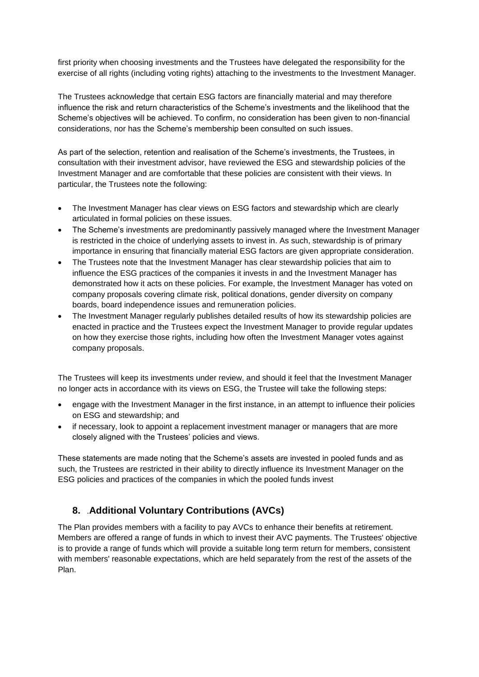first priority when choosing investments and the Trustees have delegated the responsibility for the exercise of all rights (including voting rights) attaching to the investments to the Investment Manager.

The Trustees acknowledge that certain ESG factors are financially material and may therefore influence the risk and return characteristics of the Scheme's investments and the likelihood that the Scheme's objectives will be achieved. To confirm, no consideration has been given to non-financial considerations, nor has the Scheme's membership been consulted on such issues.

As part of the selection, retention and realisation of the Scheme's investments, the Trustees, in consultation with their investment advisor, have reviewed the ESG and stewardship policies of the Investment Manager and are comfortable that these policies are consistent with their views. In particular, the Trustees note the following:

- The Investment Manager has clear views on ESG factors and stewardship which are clearly articulated in formal policies on these issues.
- The Scheme's investments are predominantly passively managed where the Investment Manager is restricted in the choice of underlying assets to invest in. As such, stewardship is of primary importance in ensuring that financially material ESG factors are given appropriate consideration.
- The Trustees note that the Investment Manager has clear stewardship policies that aim to influence the ESG practices of the companies it invests in and the Investment Manager has demonstrated how it acts on these policies. For example, the Investment Manager has voted on company proposals covering climate risk, political donations, gender diversity on company boards, board independence issues and remuneration policies.
- The Investment Manager regularly publishes detailed results of how its stewardship policies are enacted in practice and the Trustees expect the Investment Manager to provide regular updates on how they exercise those rights, including how often the Investment Manager votes against company proposals.

The Trustees will keep its investments under review, and should it feel that the Investment Manager no longer acts in accordance with its views on ESG, the Trustee will take the following steps:

- engage with the Investment Manager in the first instance, in an attempt to influence their policies on ESG and stewardship; and
- if necessary, look to appoint a replacement investment manager or managers that are more closely aligned with the Trustees' policies and views.

These statements are made noting that the Scheme's assets are invested in pooled funds and as such, the Trustees are restricted in their ability to directly influence its Investment Manager on the ESG policies and practices of the companies in which the pooled funds invest

## **8.** .**Additional Voluntary Contributions (AVCs)**

The Plan provides members with a facility to pay AVCs to enhance their benefits at retirement. Members are offered a range of funds in which to invest their AVC payments. The Trustees' objective is to provide a range of funds which will provide a suitable long term return for members, consistent with members' reasonable expectations, which are held separately from the rest of the assets of the Plan.